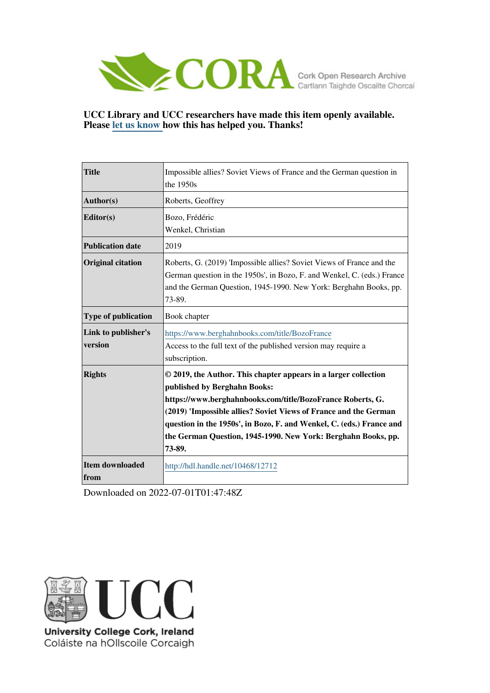

**UCC Library and UCC researchers have made this item openly available. Please [let us know h](https://libguides.ucc.ie/openaccess/impact?suffix=12712&title=Impossible allies? Soviet Views of France and the German question in the 1950s)ow this has helped you. Thanks!**

| <b>Title</b>                   | Impossible allies? Soviet Views of France and the German question in<br>the 1950s                                                                                                                                                                                                                                                                                                    |
|--------------------------------|--------------------------------------------------------------------------------------------------------------------------------------------------------------------------------------------------------------------------------------------------------------------------------------------------------------------------------------------------------------------------------------|
| Author(s)                      | Roberts, Geoffrey                                                                                                                                                                                                                                                                                                                                                                    |
| Editor(s)                      | Bozo, Frédéric<br>Wenkel, Christian                                                                                                                                                                                                                                                                                                                                                  |
| <b>Publication date</b>        | 2019                                                                                                                                                                                                                                                                                                                                                                                 |
| <b>Original citation</b>       | Roberts, G. (2019) 'Impossible allies? Soviet Views of France and the<br>German question in the 1950s', in Bozo, F. and Wenkel, C. (eds.) France<br>and the German Question, 1945-1990. New York: Berghahn Books, pp.<br>73-89.                                                                                                                                                      |
| Type of publication            | Book chapter                                                                                                                                                                                                                                                                                                                                                                         |
| Link to publisher's<br>version | https://www.berghahnbooks.com/title/BozoFrance<br>Access to the full text of the published version may require a<br>subscription.                                                                                                                                                                                                                                                    |
| <b>Rights</b>                  | © 2019, the Author. This chapter appears in a larger collection<br>published by Berghahn Books:<br>https://www.berghahnbooks.com/title/BozoFrance Roberts, G.<br>(2019) 'Impossible allies? Soviet Views of France and the German<br>question in the 1950s', in Bozo, F. and Wenkel, C. (eds.) France and<br>the German Question, 1945-1990. New York: Berghahn Books, pp.<br>73-89. |
| <b>Item downloaded</b><br>from | http://hdl.handle.net/10468/12712                                                                                                                                                                                                                                                                                                                                                    |

Downloaded on 2022-07-01T01:47:48Z



Coláiste na hOllscoile Corcaigh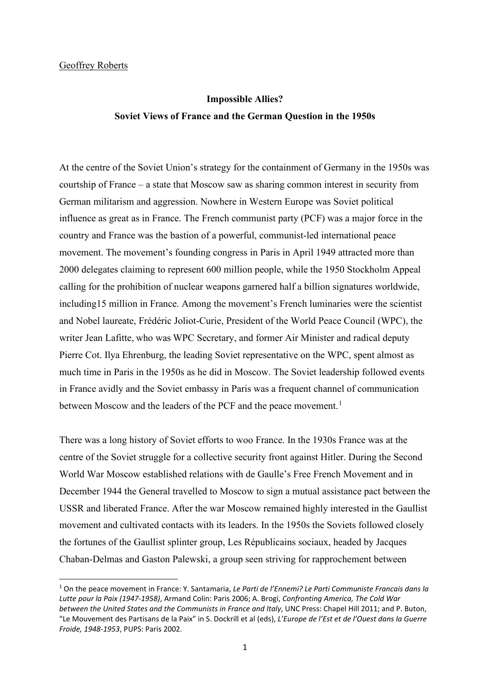## Geoffrey Roberts

# **Impossible Allies? Soviet Views of France and the German Question in the 1950s**

At the centre of the Soviet Union's strategy for the containment of Germany in the 1950s was courtship of France – a state that Moscow saw as sharing common interest in security from German militarism and aggression. Nowhere in Western Europe was Soviet political influence as great as in France. The French communist party (PCF) was a major force in the country and France was the bastion of a powerful, communist-led international peace movement. The movement's founding congress in Paris in April 1949 attracted more than 2000 delegates claiming to represent 600 million people, while the 1950 Stockholm Appeal calling for the prohibition of nuclear weapons garnered half a billion signatures worldwide, including15 million in France. Among the movement's French luminaries were the scientist and Nobel laureate, Frédéric Joliot-Curie, President of the World Peace Council (WPC), the writer Jean Lafitte, who was WPC Secretary, and former Air Minister and radical deputy Pierre Cot. Ilya Ehrenburg, the leading Soviet representative on the WPC, spent almost as much time in Paris in the 1950s as he did in Moscow. The Soviet leadership followed events in France avidly and the Soviet embassy in Paris was a frequent channel of communication between Moscow and the leaders of the PCF and the peace movement.<sup>[1](#page-1-0)</sup>

There was a long history of Soviet efforts to woo France. In the 1930s France was at the centre of the Soviet struggle for a collective security front against Hitler. During the Second World War Moscow established relations with de Gaulle's Free French Movement and in December 1944 the General travelled to Moscow to sign a mutual assistance pact between the USSR and liberated France. After the war Moscow remained highly interested in the Gaullist movement and cultivated contacts with its leaders. In the 1950s the Soviets followed closely the fortunes of the Gaullist splinter group, Les Républicains sociaux, headed by Jacques Chaban-Delmas and Gaston Palewski, a group seen striving for rapprochement between

<span id="page-1-0"></span><sup>1</sup> On the peace movement in France: Y. Santamaria, *Le Parti de l'Ennemi? Le Parti Communiste Francais dans la Lutte pour la Paix (1947-1958)*, Armand Colin: Paris 2006; A. Brogi, *Confronting America, The Cold War between the United States and the Communists in France and Italy*, UNC Press: Chapel Hill 2011; and P. Buton, "Le Mouvement des Partisans de la Paix" in S. Dockrill et al (eds), *L'Europe de l'Est et de l'Ouest dans la Guerre Froide, 1948-1953*, PUPS: Paris 2002.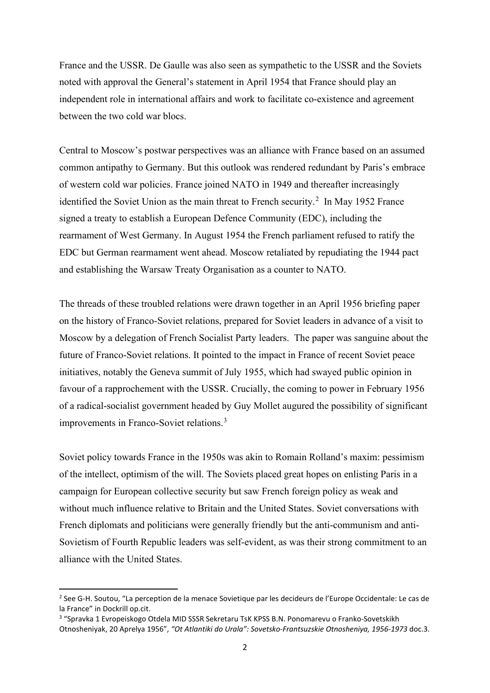France and the USSR. De Gaulle was also seen as sympathetic to the USSR and the Soviets noted with approval the General's statement in April 1954 that France should play an independent role in international affairs and work to facilitate co-existence and agreement between the two cold war blocs.

Central to Moscow's postwar perspectives was an alliance with France based on an assumed common antipathy to Germany. But this outlook was rendered redundant by Paris's embrace of western cold war policies. France joined NATO in 1949 and thereafter increasingly identified the Soviet Union as the main threat to French security.<sup>[2](#page-2-0)</sup> In May 1952 France signed a treaty to establish a European Defence Community (EDC), including the rearmament of West Germany. In August 1954 the French parliament refused to ratify the EDC but German rearmament went ahead. Moscow retaliated by repudiating the 1944 pact and establishing the Warsaw Treaty Organisation as a counter to NATO.

The threads of these troubled relations were drawn together in an April 1956 briefing paper on the history of Franco-Soviet relations, prepared for Soviet leaders in advance of a visit to Moscow by a delegation of French Socialist Party leaders. The paper was sanguine about the future of Franco-Soviet relations. It pointed to the impact in France of recent Soviet peace initiatives, notably the Geneva summit of July 1955, which had swayed public opinion in favour of a rapprochement with the USSR. Crucially, the coming to power in February 1956 of a radical-socialist government headed by Guy Mollet augured the possibility of significant improvements in Franco-Soviet relations.[3](#page-2-1)

Soviet policy towards France in the 1950s was akin to Romain Rolland's maxim: pessimism of the intellect, optimism of the will. The Soviets placed great hopes on enlisting Paris in a campaign for European collective security but saw French foreign policy as weak and without much influence relative to Britain and the United States. Soviet conversations with French diplomats and politicians were generally friendly but the anti-communism and anti-Sovietism of Fourth Republic leaders was self-evident, as was their strong commitment to an alliance with the United States.

<span id="page-2-0"></span><sup>&</sup>lt;sup>2</sup> See G-H. Soutou, "La perception de la menace Sovietique par les decideurs de l'Europe Occidentale: Le cas de la France" in Dockrill op.cit.

<span id="page-2-1"></span><sup>3</sup> "Spravka 1 Evropeiskogo Otdela MID SSSR Sekretaru TsK KPSS B.N. Ponomarevu o Franko-Sovetskikh Otnosheniyak, 20 Aprelya 1956", *"Ot Atlantiki do Urala": Sovetsko-Frantsuzskie Otnosheniya, 1956-1973* doc.3.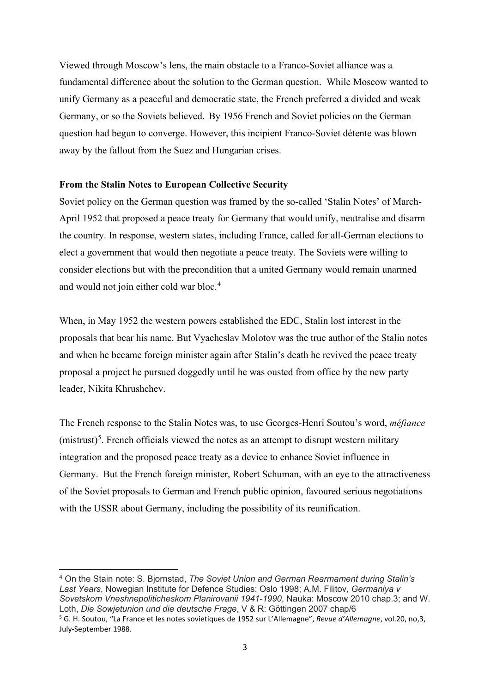Viewed through Moscow's lens, the main obstacle to a Franco-Soviet alliance was a fundamental difference about the solution to the German question. While Moscow wanted to unify Germany as a peaceful and democratic state, the French preferred a divided and weak Germany, or so the Soviets believed. By 1956 French and Soviet policies on the German question had begun to converge. However, this incipient Franco-Soviet détente was blown away by the fallout from the Suez and Hungarian crises.

#### **From the Stalin Notes to European Collective Security**

Soviet policy on the German question was framed by the so-called 'Stalin Notes' of March-April 1952 that proposed a peace treaty for Germany that would unify, neutralise and disarm the country. In response, western states, including France, called for all-German elections to elect a government that would then negotiate a peace treaty. The Soviets were willing to consider elections but with the precondition that a united Germany would remain unarmed and would not join either cold war bloc.<sup>[4](#page-3-0)</sup>

When, in May 1952 the western powers established the EDC, Stalin lost interest in the proposals that bear his name. But Vyacheslav Molotov was the true author of the Stalin notes and when he became foreign minister again after Stalin's death he revived the peace treaty proposal a project he pursued doggedly until he was ousted from office by the new party leader, Nikita Khrushchev.

The French response to the Stalin Notes was, to use Georges-Henri Soutou's word, *méfiance*  $(mistrust)<sup>5</sup>$  $(mistrust)<sup>5</sup>$  $(mistrust)<sup>5</sup>$ . French officials viewed the notes as an attempt to disrupt western military integration and the proposed peace treaty as a device to enhance Soviet influence in Germany. But the French foreign minister, Robert Schuman, with an eye to the attractiveness of the Soviet proposals to German and French public opinion, favoured serious negotiations with the USSR about Germany, including the possibility of its reunification.

<span id="page-3-1"></span><span id="page-3-0"></span><sup>4</sup> On the Stain note: S. Bjornstad, *The Soviet Union and German Rearmament during Stalin's Last Years*, Nowegian Institute for Defence Studies: Oslo 1998; A.M. Filitov, *Germaniya v Sovetskom Vneshnepoliticheskom Planirovanii 1941-1990*, Nauka: Moscow 2010 chap.3; and W. Loth, *Die Sowjetunion und die deutsche Frage*, V & R: Göttingen 2007 chap/6 <sup>5</sup> G. H. Soutou, "La France et les notes sovietiques de 1952 sur L'Allemagne", *Revue d'Allemagne*, vol.20, no,3, July-September 1988.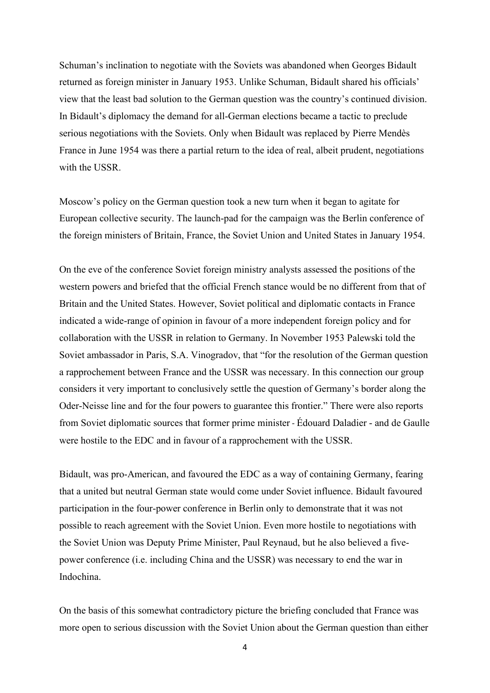Schuman's inclination to negotiate with the Soviets was abandoned when Georges Bidault returned as foreign minister in January 1953. Unlike Schuman, Bidault shared his officials' view that the least bad solution to the German question was the country's continued division. In Bidault's diplomacy the demand for all-German elections became a tactic to preclude serious negotiations with the Soviets. Only when Bidault was replaced by Pierre Mendès France in June 1954 was there a partial return to the idea of real, albeit prudent, negotiations with the USSR.

Moscow's policy on the German question took a new turn when it began to agitate for European collective security. The launch-pad for the campaign was the Berlin conference of the foreign ministers of Britain, France, the Soviet Union and United States in January 1954.

On the eve of the conference Soviet foreign ministry analysts assessed the positions of the western powers and briefed that the official French stance would be no different from that of Britain and the United States. However, Soviet political and diplomatic contacts in France indicated a wide-range of opinion in favour of a more independent foreign policy and for collaboration with the USSR in relation to Germany. In November 1953 Palewski told the Soviet ambassador in Paris, S.A. Vinogradov, that "for the resolution of the German question a rapprochement between France and the USSR was necessary. In this connection our group considers it very important to conclusively settle the question of Germany's border along the Oder-Neisse line and for the four powers to guarantee this frontier." There were also reports from Soviet diplomatic sources that former prime minister - Édouard Daladier - and de Gaulle were hostile to the EDC and in favour of a rapprochement with the USSR.

Bidault, was pro-American, and favoured the EDC as a way of containing Germany, fearing that a united but neutral German state would come under Soviet influence. Bidault favoured participation in the four-power conference in Berlin only to demonstrate that it was not possible to reach agreement with the Soviet Union. Even more hostile to negotiations with the Soviet Union was Deputy Prime Minister, Paul Reynaud, but he also believed a fivepower conference (i.e. including China and the USSR) was necessary to end the war in Indochina.

On the basis of this somewhat contradictory picture the briefing concluded that France was more open to serious discussion with the Soviet Union about the German question than either

4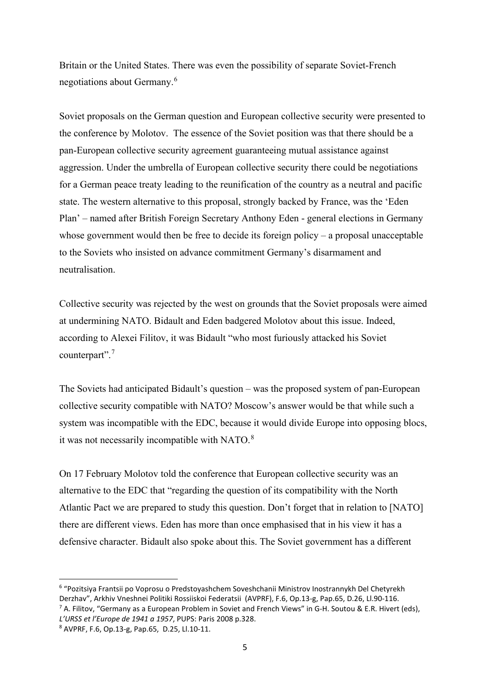Britain or the United States. There was even the possibility of separate Soviet-French negotiations about Germany. [6](#page-5-0)

Soviet proposals on the German question and European collective security were presented to the conference by Molotov. The essence of the Soviet position was that there should be a pan-European collective security agreement guaranteeing mutual assistance against aggression. Under the umbrella of European collective security there could be negotiations for a German peace treaty leading to the reunification of the country as a neutral and pacific state. The western alternative to this proposal, strongly backed by France, was the 'Eden Plan' – named after British Foreign Secretary Anthony Eden - general elections in Germany whose government would then be free to decide its foreign policy – a proposal unacceptable to the Soviets who insisted on advance commitment Germany's disarmament and neutralisation.

Collective security was rejected by the west on grounds that the Soviet proposals were aimed at undermining NATO. Bidault and Eden badgered Molotov about this issue. Indeed, according to Alexei Filitov, it was Bidault "who most furiously attacked his Soviet counterpart".[7](#page-5-1)

The Soviets had anticipated Bidault's question – was the proposed system of pan-European collective security compatible with NATO? Moscow's answer would be that while such a system was incompatible with the EDC, because it would divide Europe into opposing blocs, it was not necessarily incompatible with NATO.<sup>[8](#page-5-2)</sup>

On 17 February Molotov told the conference that European collective security was an alternative to the EDC that "regarding the question of its compatibility with the North Atlantic Pact we are prepared to study this question. Don't forget that in relation to [NATO] there are different views. Eden has more than once emphasised that in his view it has a defensive character. Bidault also spoke about this. The Soviet government has a different

<span id="page-5-0"></span><sup>6</sup> "Pozitsiya Frantsii po Voprosu o Predstoyashchem Soveshchanii Ministrov Inostrannykh Del Chetyrekh Derzhav", Arkhiv Vneshnei Politiki Rossiiskoi Federatsii (AVPRF), F.6, Op.13-g, Pap.65, D.26, Ll.90-116.  $^7$  A. Filitov, "Germany as a European Problem in Soviet and French Views" in G-H. Soutou & E.R. Hivert (eds),

<span id="page-5-1"></span>*L'URSS et l'Europe de 1941 a 1957*, PUPS: Paris 2008 p.328.

<span id="page-5-2"></span><sup>8</sup> AVPRF, F.6, Op.13-g, Pap.65, D.25, Ll.10-11.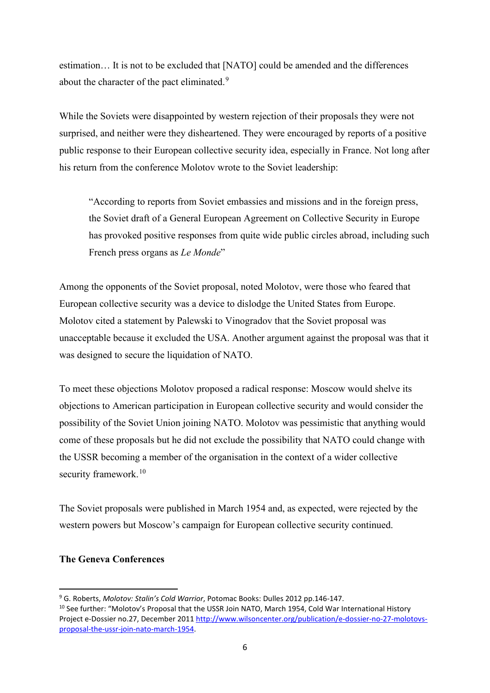estimation… It is not to be excluded that [NATO] could be amended and the differences about the character of the pact eliminated.<sup>[9](#page-6-0)</sup>

While the Soviets were disappointed by western rejection of their proposals they were not surprised, and neither were they disheartened. They were encouraged by reports of a positive public response to their European collective security idea, especially in France. Not long after his return from the conference Molotov wrote to the Soviet leadership:

"According to reports from Soviet embassies and missions and in the foreign press, the Soviet draft of a General European Agreement on Collective Security in Europe has provoked positive responses from quite wide public circles abroad, including such French press organs as *Le Monde*"

Among the opponents of the Soviet proposal, noted Molotov, were those who feared that European collective security was a device to dislodge the United States from Europe. Molotov cited a statement by Palewski to Vinogradov that the Soviet proposal was unacceptable because it excluded the USA. Another argument against the proposal was that it was designed to secure the liquidation of NATO.

To meet these objections Molotov proposed a radical response: Moscow would shelve its objections to American participation in European collective security and would consider the possibility of the Soviet Union joining NATO. Molotov was pessimistic that anything would come of these proposals but he did not exclude the possibility that NATO could change with the USSR becoming a member of the organisation in the context of a wider collective security framework.<sup>[10](#page-6-1)</sup>

The Soviet proposals were published in March 1954 and, as expected, were rejected by the western powers but Moscow's campaign for European collective security continued.

## **The Geneva Conferences**

<span id="page-6-0"></span><sup>9</sup> G. Roberts, *Molotov: Stalin's Cold Warrior*, Potomac Books: Dulles 2012 pp.146-147.

<span id="page-6-1"></span><sup>&</sup>lt;sup>10</sup> See further: "Molotov's Proposal that the USSR Join NATO, March 1954, Cold War International History Project e-Dossier no.27, December 2011 [http://www.wilsoncenter.org/publication/e-dossier-no-27-molotovs](http://www.wilsoncenter.org/publication/e-dossier-no-27-molotovs-proposal-the-ussr-join-nato-march-1954)[proposal-the-ussr-join-nato-march-1954.](http://www.wilsoncenter.org/publication/e-dossier-no-27-molotovs-proposal-the-ussr-join-nato-march-1954)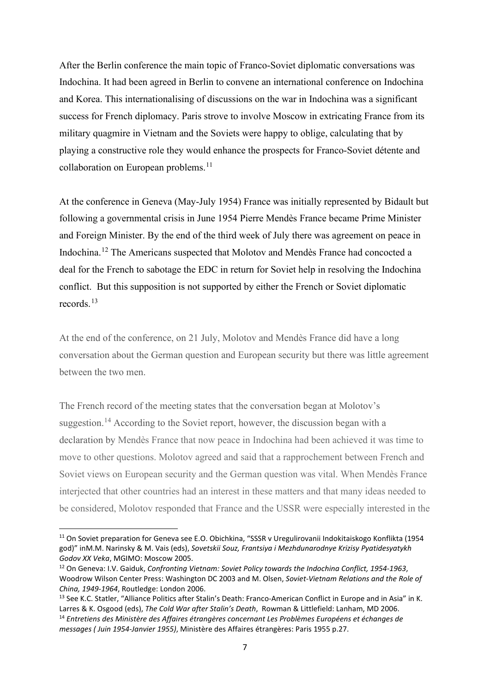After the Berlin conference the main topic of Franco-Soviet diplomatic conversations was Indochina. It had been agreed in Berlin to convene an international conference on Indochina and Korea. This internationalising of discussions on the war in Indochina was a significant success for French diplomacy. Paris strove to involve Moscow in extricating France from its military quagmire in Vietnam and the Soviets were happy to oblige, calculating that by playing a constructive role they would enhance the prospects for Franco-Soviet détente and collaboration on European problems.<sup>[11](#page-7-0)</sup>

At the conference in Geneva (May-July 1954) France was initially represented by Bidault but following a governmental crisis in June 1954 Pierre Mendès France became Prime Minister and Foreign Minister. By the end of the third week of July there was agreement on peace in Indochina.[12](#page-7-1) The Americans suspected that Molotov and Mendès France had concocted a deal for the French to sabotage the EDC in return for Soviet help in resolving the Indochina conflict. But this supposition is not supported by either the French or Soviet diplomatic records.[13](#page-7-2)

At the end of the conference, on 21 July, Molotov and Mendès France did have a long conversation about the German question and European security but there was little agreement between the two men.

The French record of the meeting states that the conversation began at Molotov's suggestion.<sup>[14](#page-7-3)</sup> According to the Soviet report, however, the discussion began with a declaration by Mendès France that now peace in Indochina had been achieved it was time to move to other questions. Molotov agreed and said that a rapprochement between French and Soviet views on European security and the German question was vital. When Mendès France interjected that other countries had an interest in these matters and that many ideas needed to be considered, Molotov responded that France and the USSR were especially interested in the

<span id="page-7-0"></span><sup>&</sup>lt;sup>11</sup> On Soviet preparation for Geneva see E.O. Obichkina, "SSSR v Uregulirovanii Indokitaiskogo Konflikta (1954 god)" inM.M. Narinsky & M. Vais (eds), *Sovetskii Souz, Frantsiya i Mezhdunarodnye Krizisy Pyatidesyatykh Godov XX Veka*, MGIMO: Moscow 2005.

<span id="page-7-1"></span><sup>12</sup> On Geneva: I.V. Gaiduk, *Confronting Vietnam: Soviet Policy towards the Indochina Conflict, 1954-1963*, Woodrow Wilson Center Press: Washington DC 2003 and M. Olsen, *Soviet-Vietnam Relations and the Role of China, 1949-1964*, Routledge: London 2006.

<span id="page-7-3"></span><span id="page-7-2"></span><sup>&</sup>lt;sup>13</sup> See K.C. Statler, "Alliance Politics after Stalin's Death: Franco-American Conflict in Europe and in Asia" in K. Larres & K. Osgood (eds), *The Cold War after Stalin's Death*, Rowman & Littlefield: Lanham, MD 2006. <sup>14</sup> *Entretiens des Ministère des Affaires étrangères concernant Les Problèmes Européens et échanges de messages ( Juin 1954-Janvier 1955)*, Ministère des Affaires étrangères: Paris 1955 p.27.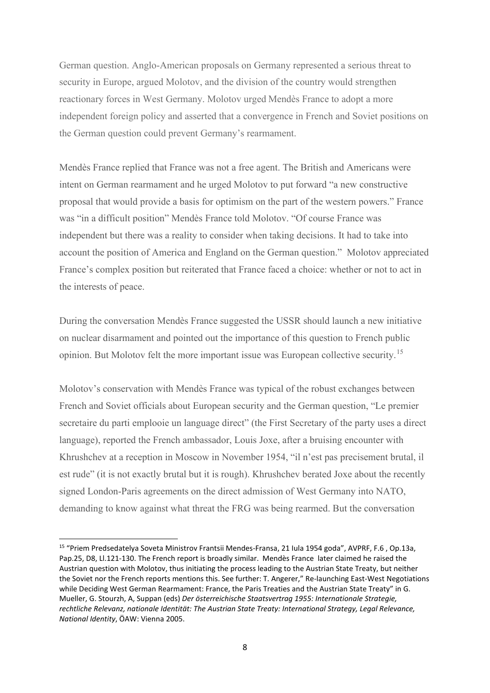German question. Anglo-American proposals on Germany represented a serious threat to security in Europe, argued Molotov, and the division of the country would strengthen reactionary forces in West Germany. Molotov urged Mendès France to adopt a more independent foreign policy and asserted that a convergence in French and Soviet positions on the German question could prevent Germany's rearmament.

Mendès France replied that France was not a free agent. The British and Americans were intent on German rearmament and he urged Molotov to put forward "a new constructive proposal that would provide a basis for optimism on the part of the western powers." France was "in a difficult position" Mendès France told Molotov. "Of course France was independent but there was a reality to consider when taking decisions. It had to take into account the position of America and England on the German question." Molotov appreciated France's complex position but reiterated that France faced a choice: whether or not to act in the interests of peace.

During the conversation Mendès France suggested the USSR should launch a new initiative on nuclear disarmament and pointed out the importance of this question to French public opinion. But Molotov felt the more important issue was European collective security.[15](#page-8-0)

Molotov's conservation with Mendès France was typical of the robust exchanges between French and Soviet officials about European security and the German question, "Le premier secretaire du parti emplooie un language direct" (the First Secretary of the party uses a direct language), reported the French ambassador, Louis Joxe, after a bruising encounter with Khrushchev at a reception in Moscow in November 1954, "il n'est pas precisement brutal, il est rude" (it is not exactly brutal but it is rough). Khrushchev berated Joxe about the recently signed London-Paris agreements on the direct admission of West Germany into NATO, demanding to know against what threat the FRG was being rearmed. But the conversation

<span id="page-8-0"></span><sup>15</sup> "Priem Predsedatelya Soveta Ministrov Frantsii Mendes-Fransa, 21 Iula 1954 goda", AVPRF, F.6 , Op.13a, Pap.25, D8, Ll.121-130. The French report is broadly similar. Mendès France later claimed he raised the Austrian question with Molotov, thus initiating the process leading to the Austrian State Treaty, but neither the Soviet nor the French reports mentions this. See further: T. Angerer," Re-launching East-West Negotiations while Deciding West German Rearmament: France, the Paris Treaties and the Austrian State Treaty" in G. Mueller, G. Stourzh, A, Suppan (eds) *Der österreichische Staatsvertrag 1955: Internationale Strategie, rechtliche Relevanz, nationale Identität: The Austrian State Treaty: International Strategy, Legal Relevance, National Identity*, ÖAW: Vienna 2005.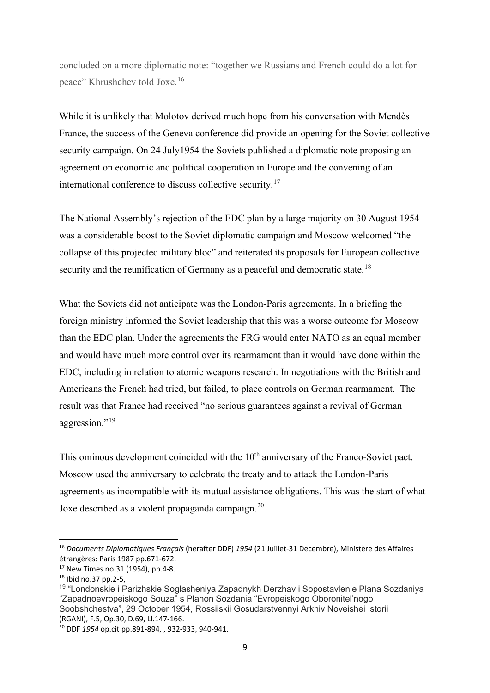concluded on a more diplomatic note: "together we Russians and French could do a lot for peace" Khrushchev told Joxe.[16](#page-9-0)

While it is unlikely that Molotov derived much hope from his conversation with Mendès France, the success of the Geneva conference did provide an opening for the Soviet collective security campaign. On 24 July1954 the Soviets published a diplomatic note proposing an agreement on economic and political cooperation in Europe and the convening of an international conference to discuss collective security.<sup>[17](#page-9-1)</sup>

The National Assembly's rejection of the EDC plan by a large majority on 30 August 1954 was a considerable boost to the Soviet diplomatic campaign and Moscow welcomed "the collapse of this projected military bloc" and reiterated its proposals for European collective security and the reunification of Germany as a peaceful and democratic state.<sup>[18](#page-9-2)</sup>

What the Soviets did not anticipate was the London-Paris agreements. In a briefing the foreign ministry informed the Soviet leadership that this was a worse outcome for Moscow than the EDC plan. Under the agreements the FRG would enter NATO as an equal member and would have much more control over its rearmament than it would have done within the EDC, including in relation to atomic weapons research. In negotiations with the British and Americans the French had tried, but failed, to place controls on German rearmament. The result was that France had received "no serious guarantees against a revival of German aggression."<sup>[19](#page-9-3)</sup>

This ominous development coincided with the  $10<sup>th</sup>$  anniversary of the Franco-Soviet pact. Moscow used the anniversary to celebrate the treaty and to attack the London-Paris agreements as incompatible with its mutual assistance obligations. This was the start of what Joxe described as a violent propaganda campaign.<sup>[20](#page-9-4)</sup>

<span id="page-9-0"></span><sup>16</sup> *Documents Diplomatiques Français* (herafter DDF) *1954* (21 Juillet-31 Decembre), Ministère des Affaires étrangères: Paris 1987 pp.671-672.

<span id="page-9-1"></span><sup>17</sup> New Times no.31 (1954), pp.4-8.

<span id="page-9-2"></span><sup>18</sup> Ibid no.37 pp.2-5,

<span id="page-9-3"></span><sup>19</sup> "Londonskie i Parizhskie Soglasheniya Zapadnykh Derzhav i Sopostavlenie Plana Sozdaniya "Zapadnoevropeiskogo Souza" s Planon Sozdania "Evropeiskogo Oboronitel'nogo Soobshchestva", 29 October 1954, Rossiiskii Gosudarstvennyi Arkhiv Noveishei Istorii (RGANI), F.5, Op.30, D.69, Ll.147-166.

<span id="page-9-4"></span><sup>20</sup> DDF *1954* op.cit pp.891-894, , 932-933, 940-941.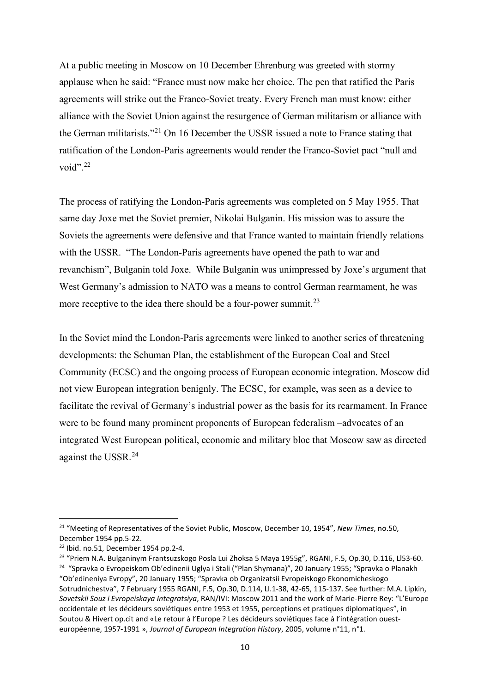At a public meeting in Moscow on 10 December Ehrenburg was greeted with stormy applause when he said: "France must now make her choice. The pen that ratified the Paris agreements will strike out the Franco-Soviet treaty. Every French man must know: either alliance with the Soviet Union against the resurgence of German militarism or alliance with the German militarists."[21](#page-10-0) On 16 December the USSR issued a note to France stating that ratification of the London-Paris agreements would render the Franco-Soviet pact "null and void". $^{22}$  $^{22}$  $^{22}$ 

The process of ratifying the London-Paris agreements was completed on 5 May 1955. That same day Joxe met the Soviet premier, Nikolai Bulganin. His mission was to assure the Soviets the agreements were defensive and that France wanted to maintain friendly relations with the USSR. "The London-Paris agreements have opened the path to war and revanchism", Bulganin told Joxe. While Bulganin was unimpressed by Joxe's argument that West Germany's admission to NATO was a means to control German rearmament, he was more receptive to the idea there should be a four-power summit.<sup>[23](#page-10-2)</sup>

In the Soviet mind the London-Paris agreements were linked to another series of threatening developments: the Schuman Plan, the establishment of the European Coal and Steel Community (ECSC) and the ongoing process of European economic integration. Moscow did not view European integration benignly. The ECSC, for example, was seen as a device to facilitate the revival of Germany's industrial power as the basis for its rearmament. In France were to be found many prominent proponents of European federalism –advocates of an integrated West European political, economic and military bloc that Moscow saw as directed against the USSR. [24](#page-10-3)

<span id="page-10-0"></span><sup>21</sup> "Meeting of Representatives of the Soviet Public, Moscow, December 10, 1954", *New Times*, no.50, December 1954 pp.5-22.

<span id="page-10-1"></span><sup>22</sup> Ibid. no.51, December 1954 pp.2-4.

<span id="page-10-3"></span><span id="page-10-2"></span><sup>&</sup>lt;sup>23</sup> "Priem N.A. Bulganinym Frantsuzskogo Posla Lui Zhoksa 5 Maya 1955g", RGANI, F.5, Op.30, D.116, Ll53-60. <sup>24</sup> "Spravka o Evropeiskom Ob'edinenii Uglya i Stali ("Plan Shymana)", 20 January 1955; "Spravka o Planakh "Ob'edineniya Evropy", 20 January 1955; "Spravka ob Organizatsii Evropeiskogo Ekonomicheskogo Sotrudnichestva", 7 February 1955 RGANI, F.5, Op.30, D.114, Ll.1-38, 42-65, 115-137. See further: M.A. Lipkin, *Sovetskii Souz i Evropeiskaya Integratsiya*, RAN/IVI: Moscow 2011 and the work of Marie-Pierre Rey: "L'Europe occidentale et les décideurs soviétiques entre 1953 et 1955, perceptions et pratiques diplomatiques", in Soutou & Hivert op.cit and «Le retour à l'Europe ? Les décideurs soviétiques face à l'intégration ouesteuropéenne, 1957-1991 », *Journal of European Integration History*, 2005, volume n°11, n°1.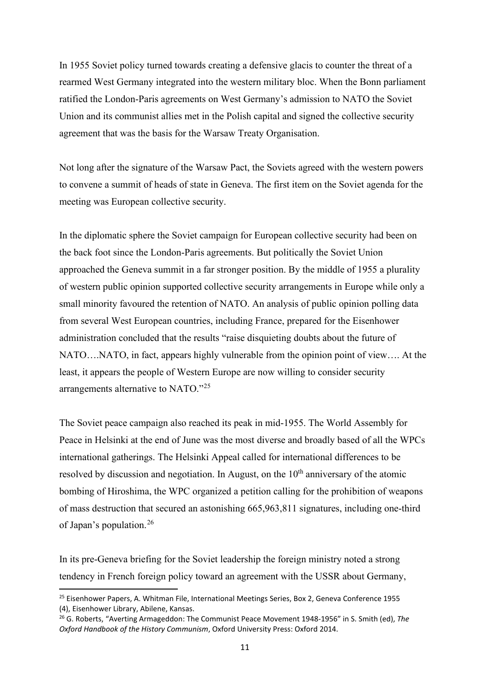In 1955 Soviet policy turned towards creating a defensive glacis to counter the threat of a rearmed West Germany integrated into the western military bloc. When the Bonn parliament ratified the London-Paris agreements on West Germany's admission to NATO the Soviet Union and its communist allies met in the Polish capital and signed the collective security agreement that was the basis for the Warsaw Treaty Organisation.

Not long after the signature of the Warsaw Pact, the Soviets agreed with the western powers to convene a summit of heads of state in Geneva. The first item on the Soviet agenda for the meeting was European collective security.

In the diplomatic sphere the Soviet campaign for European collective security had been on the back foot since the London-Paris agreements. But politically the Soviet Union approached the Geneva summit in a far stronger position. By the middle of 1955 a plurality of western public opinion supported collective security arrangements in Europe while only a small minority favoured the retention of NATO. An analysis of public opinion polling data from several West European countries, including France, prepared for the Eisenhower administration concluded that the results "raise disquieting doubts about the future of NATO….NATO, in fact, appears highly vulnerable from the opinion point of view…. At the least, it appears the people of Western Europe are now willing to consider security arrangements alternative to NATO."[25](#page-11-0)

The Soviet peace campaign also reached its peak in mid-1955. The World Assembly for Peace in Helsinki at the end of June was the most diverse and broadly based of all the WPCs international gatherings. The Helsinki Appeal called for international differences to be resolved by discussion and negotiation. In August, on the  $10<sup>th</sup>$  anniversary of the atomic bombing of Hiroshima, the WPC organized a petition calling for the prohibition of weapons of mass destruction that secured an astonishing 665,963,811 signatures, including one-third of Japan's population. [26](#page-11-1)

In its pre-Geneva briefing for the Soviet leadership the foreign ministry noted a strong tendency in French foreign policy toward an agreement with the USSR about Germany,

<span id="page-11-0"></span><sup>&</sup>lt;sup>25</sup> Eisenhower Papers, A. Whitman File, International Meetings Series, Box 2, Geneva Conference 1955 (4), Eisenhower Library, Abilene, Kansas.

<span id="page-11-1"></span><sup>26</sup> G. Roberts, "Averting Armageddon: The Communist Peace Movement 1948-1956" in S. Smith (ed), *The Oxford Handbook of the History Communism*, Oxford University Press: Oxford 2014.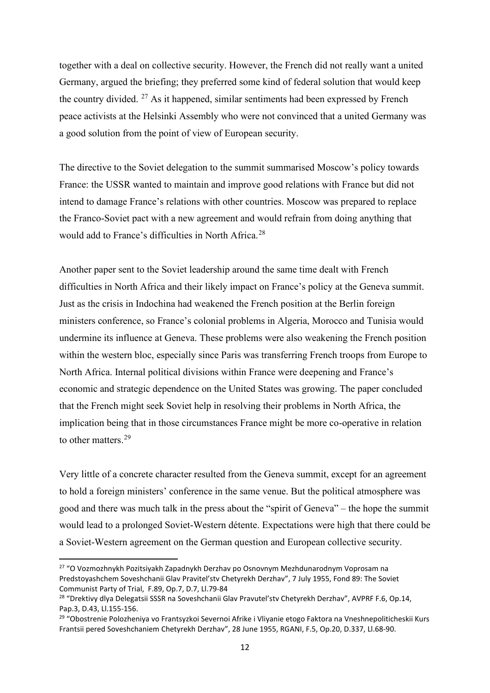together with a deal on collective security. However, the French did not really want a united Germany, argued the briefing; they preferred some kind of federal solution that would keep the country divided.  $27$  As it happened, similar sentiments had been expressed by French peace activists at the Helsinki Assembly who were not convinced that a united Germany was a good solution from the point of view of European security.

The directive to the Soviet delegation to the summit summarised Moscow's policy towards France: the USSR wanted to maintain and improve good relations with France but did not intend to damage France's relations with other countries. Moscow was prepared to replace the Franco-Soviet pact with a new agreement and would refrain from doing anything that would add to France's difficulties in North Africa.<sup>[28](#page-12-1)</sup>

Another paper sent to the Soviet leadership around the same time dealt with French difficulties in North Africa and their likely impact on France's policy at the Geneva summit. Just as the crisis in Indochina had weakened the French position at the Berlin foreign ministers conference, so France's colonial problems in Algeria, Morocco and Tunisia would undermine its influence at Geneva. These problems were also weakening the French position within the western bloc, especially since Paris was transferring French troops from Europe to North Africa. Internal political divisions within France were deepening and France's economic and strategic dependence on the United States was growing. The paper concluded that the French might seek Soviet help in resolving their problems in North Africa, the implication being that in those circumstances France might be more co-operative in relation to other matters.[29](#page-12-2)

Very little of a concrete character resulted from the Geneva summit, except for an agreement to hold a foreign ministers' conference in the same venue. But the political atmosphere was good and there was much talk in the press about the "spirit of Geneva" – the hope the summit would lead to a prolonged Soviet-Western détente. Expectations were high that there could be a Soviet-Western agreement on the German question and European collective security.

<span id="page-12-0"></span><sup>&</sup>lt;sup>27</sup> "O Vozmozhnykh Pozitsiyakh Zapadnykh Derzhav po Osnovnym Mezhdunarodnym Voprosam na Predstoyashchem Soveshchanii Glav Pravitel'stv Chetyrekh Derzhav", 7 July 1955, Fond 89: The Soviet Communist Party of Trial, F.89, Op.7, D.7, Ll.79-84

<span id="page-12-1"></span><sup>&</sup>lt;sup>28</sup> "Drektivy dlya Delegatsii SSSR na Soveshchanii Glav Pravutel'stv Chetyrekh Derzhav", AVPRF F.6, Op.14, Pap.3, D.43, Ll.155-156.

<span id="page-12-2"></span><sup>29</sup> "Obostrenie Polozheniya vo Frantsyzkoi Severnoi Afrike i Vliyanie etogo Faktora na Vneshnepoliticheskii Kurs Frantsii pered Soveshchaniem Chetyrekh Derzhav", 28 June 1955, RGANI, F.5, Op.20, D.337, Ll.68-90.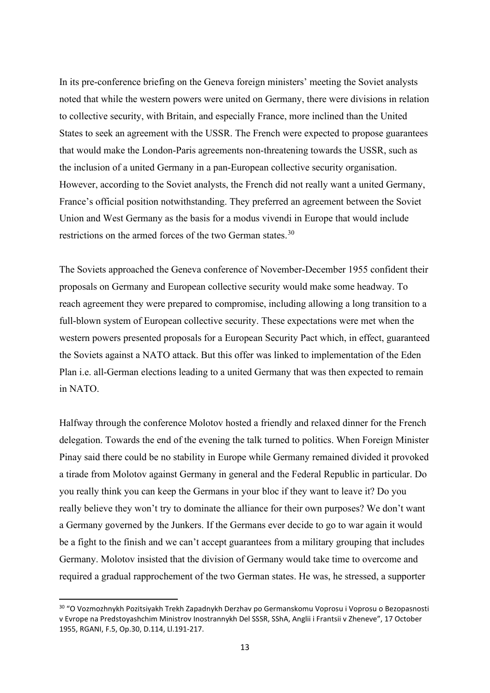In its pre-conference briefing on the Geneva foreign ministers' meeting the Soviet analysts noted that while the western powers were united on Germany, there were divisions in relation to collective security, with Britain, and especially France, more inclined than the United States to seek an agreement with the USSR. The French were expected to propose guarantees that would make the London-Paris agreements non-threatening towards the USSR, such as the inclusion of a united Germany in a pan-European collective security organisation. However, according to the Soviet analysts, the French did not really want a united Germany, France's official position notwithstanding. They preferred an agreement between the Soviet Union and West Germany as the basis for a modus vivendi in Europe that would include restrictions on the armed forces of the two German states.<sup>[30](#page-13-0)</sup>

The Soviets approached the Geneva conference of November-December 1955 confident their proposals on Germany and European collective security would make some headway. To reach agreement they were prepared to compromise, including allowing a long transition to a full-blown system of European collective security. These expectations were met when the western powers presented proposals for a European Security Pact which, in effect, guaranteed the Soviets against a NATO attack. But this offer was linked to implementation of the Eden Plan i.e. all-German elections leading to a united Germany that was then expected to remain in NATO.

Halfway through the conference Molotov hosted a friendly and relaxed dinner for the French delegation. Towards the end of the evening the talk turned to politics. When Foreign Minister Pinay said there could be no stability in Europe while Germany remained divided it provoked a tirade from Molotov against Germany in general and the Federal Republic in particular. Do you really think you can keep the Germans in your bloc if they want to leave it? Do you really believe they won't try to dominate the alliance for their own purposes? We don't want a Germany governed by the Junkers. If the Germans ever decide to go to war again it would be a fight to the finish and we can't accept guarantees from a military grouping that includes Germany. Molotov insisted that the division of Germany would take time to overcome and required a gradual rapprochement of the two German states. He was, he stressed, a supporter

<span id="page-13-0"></span><sup>&</sup>lt;sup>30</sup> "O Vozmozhnykh Pozitsiyakh Trekh Zapadnykh Derzhav po Germanskomu Voprosu i Voprosu o Bezopasnosti v Evrope na Predstoyashchim Ministrov Inostrannykh Del SSSR, SShA, Anglii i Frantsii v Zheneve", 17 October 1955, RGANI, F.5, Op.30, D.114, Ll.191-217.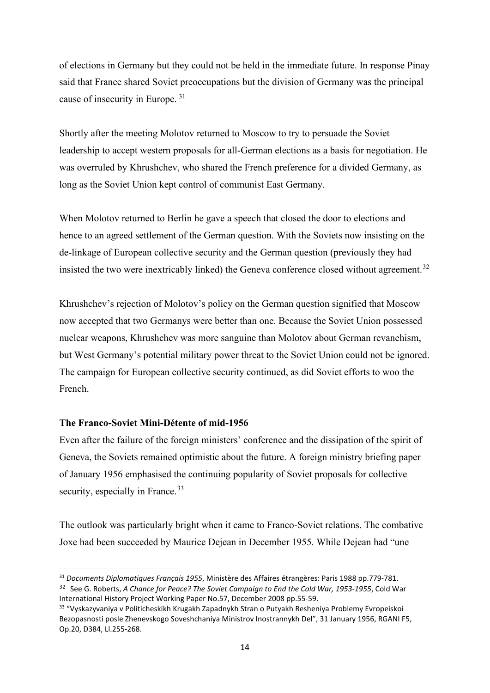of elections in Germany but they could not be held in the immediate future. In response Pinay said that France shared Soviet preoccupations but the division of Germany was the principal cause of insecurity in Europe. [31](#page-14-0)

Shortly after the meeting Molotov returned to Moscow to try to persuade the Soviet leadership to accept western proposals for all-German elections as a basis for negotiation. He was overruled by Khrushchev, who shared the French preference for a divided Germany, as long as the Soviet Union kept control of communist East Germany.

When Molotov returned to Berlin he gave a speech that closed the door to elections and hence to an agreed settlement of the German question. With the Soviets now insisting on the de-linkage of European collective security and the German question (previously they had insisted the two were inextricably linked) the Geneva conference closed without agreement.<sup>[32](#page-14-1)</sup>

Khrushchev's rejection of Molotov's policy on the German question signified that Moscow now accepted that two Germanys were better than one. Because the Soviet Union possessed nuclear weapons, Khrushchev was more sanguine than Molotov about German revanchism, but West Germany's potential military power threat to the Soviet Union could not be ignored. The campaign for European collective security continued, as did Soviet efforts to woo the French.

## **The Franco-Soviet Mini-Détente of mid-1956**

Even after the failure of the foreign ministers' conference and the dissipation of the spirit of Geneva, the Soviets remained optimistic about the future. A foreign ministry briefing paper of January 1956 emphasised the continuing popularity of Soviet proposals for collective security, especially in France.<sup>[33](#page-14-2)</sup>

The outlook was particularly bright when it came to Franco-Soviet relations. The combative Joxe had been succeeded by Maurice Dejean in December 1955. While Dejean had "une

<span id="page-14-1"></span><span id="page-14-0"></span><sup>31</sup> *Documents Diplomatiques Français 1955*, Ministère des Affaires étrangères: Paris 1988 pp.779-781. <sup>32</sup> See G. Roberts, *A Chance for Peace? The Soviet Campaign to End the Cold War, 1953-1955*, Cold War International History Project Working Paper No.57, December 2008 pp.55-59.

<span id="page-14-2"></span><sup>&</sup>lt;sup>33</sup> "Vyskazyvaniya v Politicheskikh Krugakh Zapadnykh Stran o Putyakh Resheniya Problemy Evropeiskoi Bezopasnosti posle Zhenevskogo Soveshchaniya Ministrov Inostrannykh Del", 31 January 1956, RGANI F5, Op.20, D384, Ll.255-268.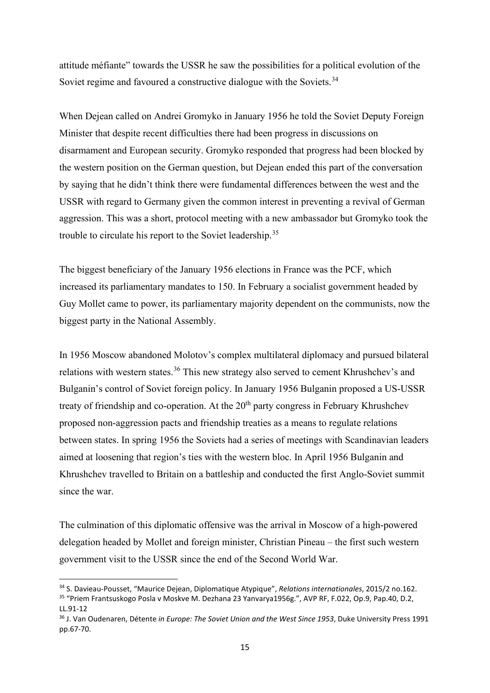attitude méfiante" towards the USSR he saw the possibilities for a political evolution of the Soviet regime and favoured a constructive dialogue with the Soviets.<sup>[34](#page-15-0)</sup>

When Dejean called on Andrei Gromyko in January 1956 he told the Soviet Deputy Foreign Minister that despite recent difficulties there had been progress in discussions on disarmament and European security. Gromyko responded that progress had been blocked by the western position on the German question, but Dejean ended this part of the conversation by saying that he didn't think there were fundamental differences between the west and the USSR with regard to Germany given the common interest in preventing a revival of German aggression. This was a short, protocol meeting with a new ambassador but Gromyko took the trouble to circulate his report to the Soviet leadership.<sup>[35](#page-15-1)</sup>

The biggest beneficiary of the January 1956 elections in France was the PCF, which increased its parliamentary mandates to 150. In February a socialist government headed by Guy Mollet came to power, its parliamentary majority dependent on the communists, now the biggest party in the National Assembly.

In 1956 Moscow abandoned Molotov's complex multilateral diplomacy and pursued bilateral relations with western states.<sup>[36](#page-15-2)</sup> This new strategy also served to cement Khrushchev's and Bulganin's control of Soviet foreign policy. In January 1956 Bulganin proposed a US-USSR treaty of friendship and co-operation. At the  $20<sup>th</sup>$  party congress in February Khrushchev proposed non-aggression pacts and friendship treaties as a means to regulate relations between states. In spring 1956 the Soviets had a series of meetings with Scandinavian leaders aimed at loosening that region's ties with the western bloc. In April 1956 Bulganin and Khrushchev travelled to Britain on a battleship and conducted the first Anglo-Soviet summit since the war.

The culmination of this diplomatic offensive was the arrival in Moscow of a high-powered delegation headed by Mollet and foreign minister, Christian Pineau – the first such western government visit to the USSR since the end of the Second World War.

<span id="page-15-1"></span><span id="page-15-0"></span><sup>34</sup> S. Davieau-Pousset, "Maurice Dejean, Diplomatique Atypique", *Relations internationales*, 2015/2 no.162. <sup>35</sup> "Priem Frantsuskogo Posla v Moskve M. Dezhana 23 Yanvarya1956g.", AVP RF, F.022, Op.9, Pap.40, D.2, LL.91-12

<span id="page-15-2"></span><sup>36</sup> J. Van Oudenaren, Détente *in Europe: The Soviet Union and the West Since 1953*, Duke University Press 1991 pp.67-70.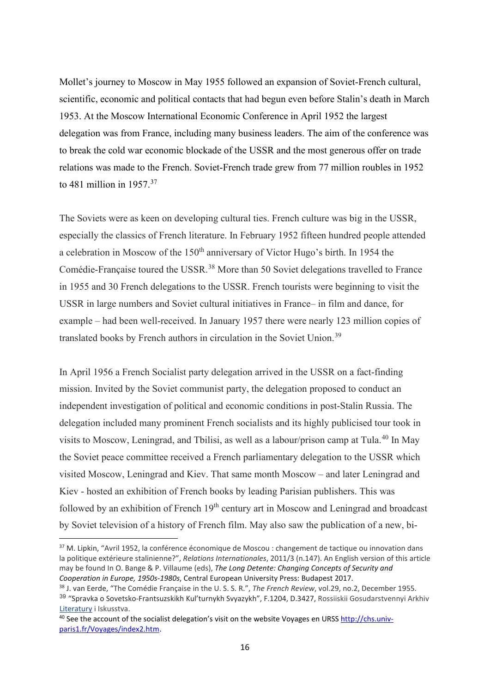Mollet's journey to Moscow in May 1955 followed an expansion of Soviet-French cultural, scientific, economic and political contacts that had begun even before Stalin's death in March 1953. At the Moscow International Economic Conference in April 1952 the largest delegation was from France, including many business leaders. The aim of the conference was to break the cold war economic blockade of the USSR and the most generous offer on trade relations was made to the French. Soviet-French trade grew from 77 million roubles in 1952 to 481 million in  $1957<sup>37</sup>$  $1957<sup>37</sup>$  $1957<sup>37</sup>$ 

The Soviets were as keen on developing cultural ties. French culture was big in the USSR, especially the classics of French literature. In February 1952 fifteen hundred people attended a celebration in Moscow of the 150<sup>th</sup> anniversary of Victor Hugo's birth. In 1954 the Comédie-Française toured the USSR.<sup>[38](#page-16-1)</sup> More than 50 Soviet delegations travelled to France in 1955 and 30 French delegations to the USSR. French tourists were beginning to visit the USSR in large numbers and Soviet cultural initiatives in France– in film and dance, for example – had been well-received. In January 1957 there were nearly 123 million copies of translated books by French authors in circulation in the Soviet Union.[39](#page-16-2)

In April 1956 a French Socialist party delegation arrived in the USSR on a fact-finding mission. Invited by the Soviet communist party, the delegation proposed to conduct an independent investigation of political and economic conditions in post-Stalin Russia. The delegation included many prominent French socialists and its highly publicised tour took in visits to Moscow, Leningrad, and Tbilisi, as well as a labour/prison camp at Tula.[40](#page-16-3) In May the Soviet peace committee received a French parliamentary delegation to the USSR which visited Moscow, Leningrad and Kiev. That same month Moscow – and later Leningrad and Kiev - hosted an exhibition of French books by leading Parisian publishers. This was followed by an exhibition of French 19<sup>th</sup> century art in Moscow and Leningrad and broadcast by Soviet television of a history of French film. May also saw the publication of a new, bi-

<span id="page-16-0"></span><sup>&</sup>lt;sup>37</sup> M. Lipkin, "Avril 1952, la conférence économique de Moscou : changement de tactique ou innovation dans la politique extérieure stalinienne?", *Relations Internationales*, 2011/3 (n.147). An English version of this article may be found In O. Bange & P. Villaume (eds), *The Long Detente: Changing Concepts of Security and Cooperation in Europe, 1950s-1980s*, Central European University Press: Budapest 2017.

<span id="page-16-1"></span><sup>38</sup> J. van Eerde, "The Comédie Française in the U. S. S. R.", *The French Review*, vol.29, no.2, December 1955.

<span id="page-16-2"></span><sup>39</sup> "Spravka o Sovetsko-Frantsuzskikh Kul'turnykh Svyazykh", F.1204, D.3427, Rossiiskii Gosudarstvennyi Arkhiv Literatury i Iskusstva.

<span id="page-16-3"></span><sup>&</sup>lt;sup>40</sup> See the account of the socialist delegation's visit on the website Voyages en URSS [http://chs.univ](http://chs.univ-paris1.fr/Voyages/index2.htm)[paris1.fr/Voyages/index2.htm.](http://chs.univ-paris1.fr/Voyages/index2.htm)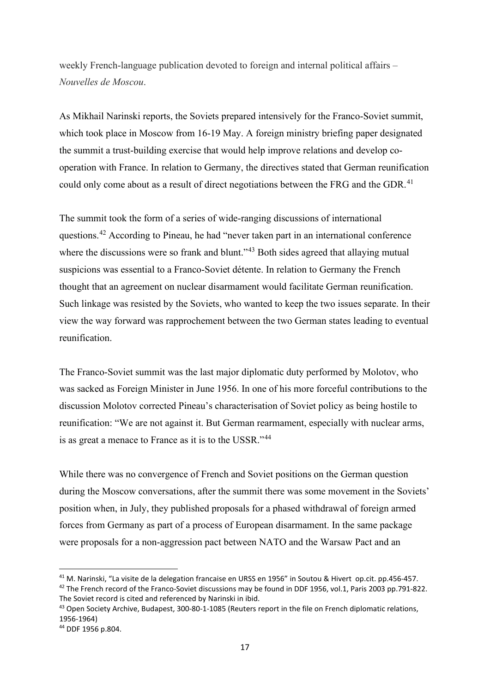weekly French-language publication devoted to foreign and internal political affairs – *Nouvelles de Moscou*.

As Mikhail Narinski reports, the Soviets prepared intensively for the Franco-Soviet summit, which took place in Moscow from 16-19 May. A foreign ministry briefing paper designated the summit a trust-building exercise that would help improve relations and develop cooperation with France. In relation to Germany, the directives stated that German reunification could only come about as a result of direct negotiations between the FRG and the GDR.<sup>[41](#page-17-0)</sup>

The summit took the form of a series of wide-ranging discussions of international questions.[42](#page-17-1) According to Pineau, he had "never taken part in an international conference where the discussions were so frank and blunt."<sup>[43](#page-17-2)</sup> Both sides agreed that allaying mutual suspicions was essential to a Franco-Soviet détente. In relation to Germany the French thought that an agreement on nuclear disarmament would facilitate German reunification. Such linkage was resisted by the Soviets, who wanted to keep the two issues separate. In their view the way forward was rapprochement between the two German states leading to eventual reunification.

The Franco-Soviet summit was the last major diplomatic duty performed by Molotov, who was sacked as Foreign Minister in June 1956. In one of his more forceful contributions to the discussion Molotov corrected Pineau's characterisation of Soviet policy as being hostile to reunification: "We are not against it. But German rearmament, especially with nuclear arms, is as great a menace to France as it is to the USSR."[44](#page-17-3)

While there was no convergence of French and Soviet positions on the German question during the Moscow conversations, after the summit there was some movement in the Soviets' position when, in July, they published proposals for a phased withdrawal of foreign armed forces from Germany as part of a process of European disarmament. In the same package were proposals for a non-aggression pact between NATO and the Warsaw Pact and an

<span id="page-17-1"></span><span id="page-17-0"></span><sup>41</sup> M. Narinski, "La visite de la delegation francaise en URSS en 1956" in Soutou & Hivert op.cit. pp.456-457. <sup>42</sup> The French record of the Franco-Soviet discussions may be found in DDF 1956, vol.1, Paris 2003 pp.791-822. The Soviet record is cited and referenced by Narinski in ibid.

<span id="page-17-2"></span><sup>&</sup>lt;sup>43</sup> Open Society Archive, Budapest, 300-80-1-1085 (Reuters report in the file on French diplomatic relations, 1956-1964)

<span id="page-17-3"></span><sup>44</sup> DDF 1956 p.804.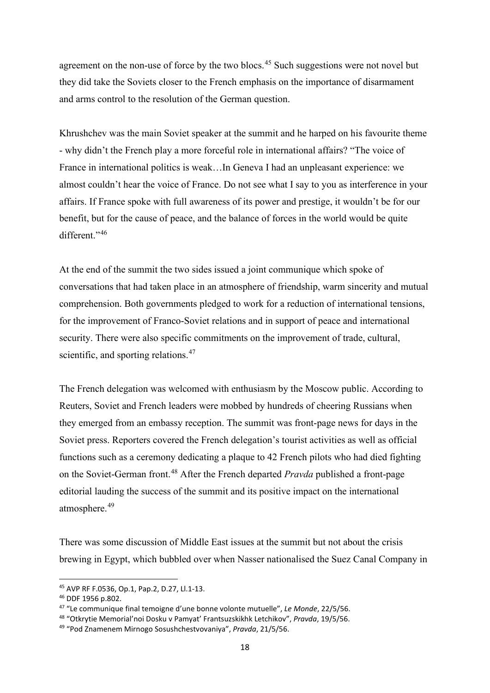agreement on the non-use of force by the two blocs.<sup>[45](#page-18-0)</sup> Such suggestions were not novel but they did take the Soviets closer to the French emphasis on the importance of disarmament and arms control to the resolution of the German question.

Khrushchev was the main Soviet speaker at the summit and he harped on his favourite theme - why didn't the French play a more forceful role in international affairs? "The voice of France in international politics is weak…In Geneva I had an unpleasant experience: we almost couldn't hear the voice of France. Do not see what I say to you as interference in your affairs. If France spoke with full awareness of its power and prestige, it wouldn't be for our benefit, but for the cause of peace, and the balance of forces in the world would be quite different."[46](#page-18-1)

At the end of the summit the two sides issued a joint communique which spoke of conversations that had taken place in an atmosphere of friendship, warm sincerity and mutual comprehension. Both governments pledged to work for a reduction of international tensions, for the improvement of Franco-Soviet relations and in support of peace and international security. There were also specific commitments on the improvement of trade, cultural, scientific, and sporting relations.<sup>[47](#page-18-2)</sup>

The French delegation was welcomed with enthusiasm by the Moscow public. According to Reuters, Soviet and French leaders were mobbed by hundreds of cheering Russians when they emerged from an embassy reception. The summit was front-page news for days in the Soviet press. Reporters covered the French delegation's tourist activities as well as official functions such as a ceremony dedicating a plaque to 42 French pilots who had died fighting on the Soviet-German front.[48](#page-18-3) After the French departed *Pravda* published a front-page editorial lauding the success of the summit and its positive impact on the international atmosphere.<sup>[49](#page-18-4)</sup>

There was some discussion of Middle East issues at the summit but not about the crisis brewing in Egypt, which bubbled over when Nasser nationalised the Suez Canal Company in

<span id="page-18-0"></span><sup>45</sup> AVP RF F.0536, Op.1, Pap.2, D.27, Ll.1-13.

<span id="page-18-1"></span><sup>46</sup> DDF 1956 p.802.

<span id="page-18-2"></span><sup>47</sup> "Le communique final temoigne d'une bonne volonte mutuelle", *Le Monde*, 22/5/56.

<span id="page-18-3"></span><sup>48</sup> "Otkrytie Memorial'noi Dosku v Pamyat' Frantsuzskikhk Letchikov", *Pravda*, 19/5/56.

<span id="page-18-4"></span><sup>49</sup> "Pod Znamenem Mirnogo Sosushchestvovaniya", *Pravda*, 21/5/56.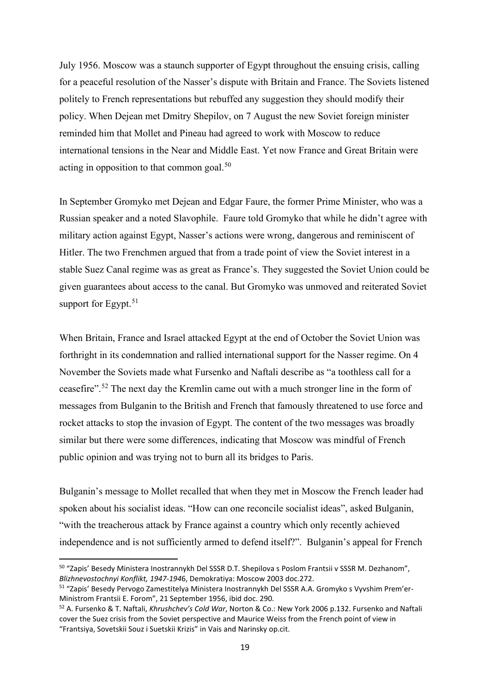July 1956. Moscow was a staunch supporter of Egypt throughout the ensuing crisis, calling for a peaceful resolution of the Nasser's dispute with Britain and France. The Soviets listened politely to French representations but rebuffed any suggestion they should modify their policy. When Dejean met Dmitry Shepilov, on 7 August the new Soviet foreign minister reminded him that Mollet and Pineau had agreed to work with Moscow to reduce international tensions in the Near and Middle East. Yet now France and Great Britain were acting in opposition to that common goal.<sup>[50](#page-19-0)</sup>

In September Gromyko met Dejean and Edgar Faure, the former Prime Minister, who was a Russian speaker and a noted Slavophile. Faure told Gromyko that while he didn't agree with military action against Egypt, Nasser's actions were wrong, dangerous and reminiscent of Hitler. The two Frenchmen argued that from a trade point of view the Soviet interest in a stable Suez Canal regime was as great as France's. They suggested the Soviet Union could be given guarantees about access to the canal. But Gromyko was unmoved and reiterated Soviet support for Egypt. $51$ 

When Britain, France and Israel attacked Egypt at the end of October the Soviet Union was forthright in its condemnation and rallied international support for the Nasser regime. On 4 November the Soviets made what Fursenko and Naftali describe as "a toothless call for a ceasefire".[52](#page-19-2) The next day the Kremlin came out with a much stronger line in the form of messages from Bulganin to the British and French that famously threatened to use force and rocket attacks to stop the invasion of Egypt. The content of the two messages was broadly similar but there were some differences, indicating that Moscow was mindful of French public opinion and was trying not to burn all its bridges to Paris.

Bulganin's message to Mollet recalled that when they met in Moscow the French leader had spoken about his socialist ideas. "How can one reconcile socialist ideas", asked Bulganin, "with the treacherous attack by France against a country which only recently achieved independence and is not sufficiently armed to defend itself?". Bulganin's appeal for French

<span id="page-19-0"></span><sup>50</sup> "Zapis' Besedy Ministera Inostrannykh Del SSSR D.T. Shepilova s Poslom Frantsii v SSSR M. Dezhanom", *Blizhnevostochnyi Konflikt, 1947-194*6, Demokratiya: Moscow 2003 doc.272.

<span id="page-19-1"></span><sup>51</sup> "Zapis' Besedy Pervogo Zamestitelya Ministera Inostrannykh Del SSSR A.A. Gromyko s Vyvshim Prem'er-Ministrom Frantsii E. Forom", 21 September 1956, ibid doc. 290.

<span id="page-19-2"></span><sup>52</sup> A. Fursenko & T. Naftali, *Khrushchev's Cold War*, Norton & Co.: New York 2006 p.132. Fursenko and Naftali cover the Suez crisis from the Soviet perspective and Maurice Weiss from the French point of view in "Frantsiya, Sovetskii Souz i Suetskii Krizis" in Vais and Narinsky op.cit.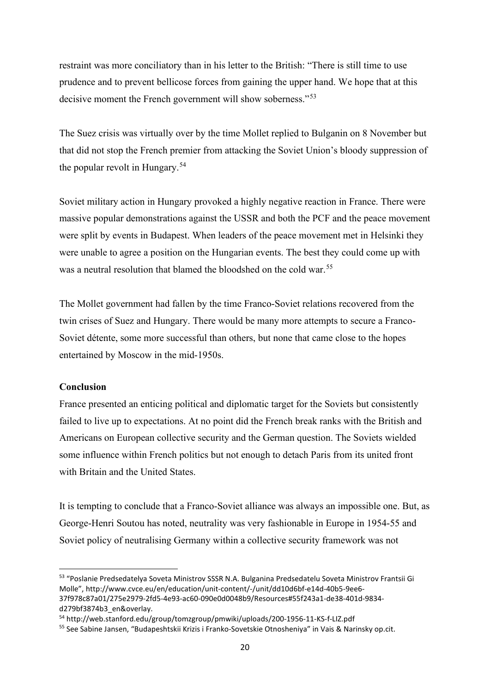restraint was more conciliatory than in his letter to the British: "There is still time to use prudence and to prevent bellicose forces from gaining the upper hand. We hope that at this decisive moment the French government will show soberness."<sup>[53](#page-20-0)</sup>

The Suez crisis was virtually over by the time Mollet replied to Bulganin on 8 November but that did not stop the French premier from attacking the Soviet Union's bloody suppression of the popular revolt in Hungary.<sup>[54](#page-20-1)</sup>

Soviet military action in Hungary provoked a highly negative reaction in France. There were massive popular demonstrations against the USSR and both the PCF and the peace movement were split by events in Budapest. When leaders of the peace movement met in Helsinki they were unable to agree a position on the Hungarian events. The best they could come up with was a neutral resolution that blamed the bloodshed on the cold war.<sup>[55](#page-20-2)</sup>

The Mollet government had fallen by the time Franco-Soviet relations recovered from the twin crises of Suez and Hungary. There would be many more attempts to secure a Franco-Soviet détente, some more successful than others, but none that came close to the hopes entertained by Moscow in the mid-1950s.

## **Conclusion**

France presented an enticing political and diplomatic target for the Soviets but consistently failed to live up to expectations. At no point did the French break ranks with the British and Americans on European collective security and the German question. The Soviets wielded some influence within French politics but not enough to detach Paris from its united front with Britain and the United States.

It is tempting to conclude that a Franco-Soviet alliance was always an impossible one. But, as George-Henri Soutou has noted, neutrality was very fashionable in Europe in 1954-55 and Soviet policy of neutralising Germany within a collective security framework was not

<span id="page-20-0"></span><sup>53</sup> "Poslanie Predsedatelya Soveta Ministrov SSSR N.A. Bulganina Predsedatelu Soveta Ministrov Frantsii Gi Molle", http://www.cvce.eu/en/education/unit-content/-/unit/dd10d6bf-e14d-40b5-9ee6- 37f978c87a01/275e2979-2fd5-4e93-ac60-090e0d0048b9/Resources#55f243a1-de38-401d-9834 d279bf3874b3\_en&overlay.

<span id="page-20-1"></span><sup>54</sup> http://web.stanford.edu/group/tomzgroup/pmwiki/uploads/200-1956-11-KS-f-LIZ.pdf

<span id="page-20-2"></span><sup>55</sup> See Sabine Jansen, "Budapeshtskii Krizis i Franko-Sovetskie Otnosheniya" in Vais & Narinsky op.cit.